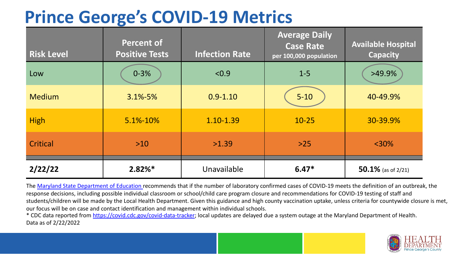## **Prince George's COVID-19 Metrics**

| <b>Risk Level</b> | <b>Percent of</b><br><b>Positive Tests</b> | <b>Infection Rate</b> | <b>Average Daily</b><br><b>Case Rate</b><br>per 100,000 population | <b>Available Hospital</b><br><b>Capacity</b> |
|-------------------|--------------------------------------------|-----------------------|--------------------------------------------------------------------|----------------------------------------------|
| Low               | $0 - 3%$                                   | < 0.9                 | $1 - 5$                                                            | $>49.9\%$                                    |
| <b>Medium</b>     | $3.1\% - 5\%$                              | $0.9 - 1.10$          | $5 - 10$                                                           | 40-49.9%                                     |
| <b>High</b>       | 5.1%-10%                                   | 1.10-1.39             | $10 - 25$                                                          | 30-39.9%                                     |
| Critical          | $>10$                                      | >1.39                 | $>25$                                                              | $<$ 30%                                      |
| 2/22/22           | $2.82%$ *                                  | Unavailable           | $6.47*$                                                            | 50.1% (as of $2/21$ )                        |

The [Maryland State Department of Education](https://earlychildhood.marylandpublicschools.org/system/files/filedepot/3/covid_guidance_full_080420.pdf) recommends that if the number of laboratory confirmed cases of COVID-19 meets the definition of an outbreak, the response decisions, including possible individual classroom or school/child care program closure and recommendations for COVID-19 testing of staff and students/children will be made by the Local Health Department. Given this guidance and high county vaccination uptake, unless criteria for countywide closure is met, our focus will be on case and contact identification and management within individual schools.

\* CDC data reported from <https://covid.cdc.gov/covid-data-tracker>; local updates are delayed due a system outage at the Maryland Department of Health. Data as of 2/22/2022

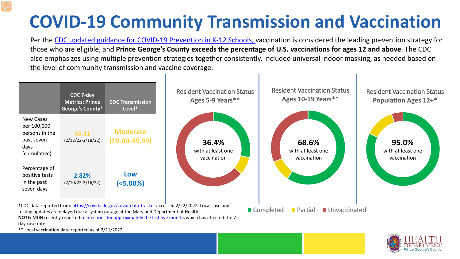## **COVID-19 Community Transmission and Vaccination**

Per the [CDC updated guidance for COVID-19 Prevention in K-12 Schools,](https://www.cdc.gov/coronavirus/2019-ncov/community/schools-childcare/k-12-guidance.html) vaccination is considered the leading prevention strategy for those who are eligible, and **Prince George's County exceeds the percentage of U.S. vaccinations for ages 12 and above**. The CDC also emphasizes using multiple prevention strategies together consistently, included universal indoor masking, as needed based on the level of community transmission and vaccine coverage.





\*\* Local vaccination data reported as of 2/21/2022